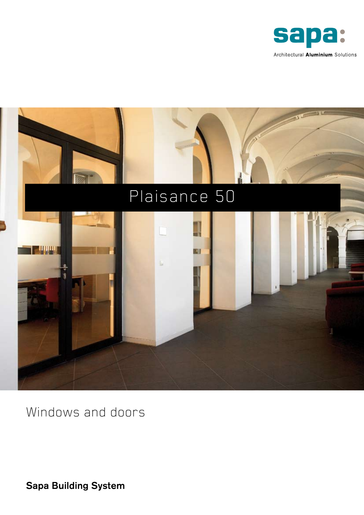



Windows and doors

Sapa Building System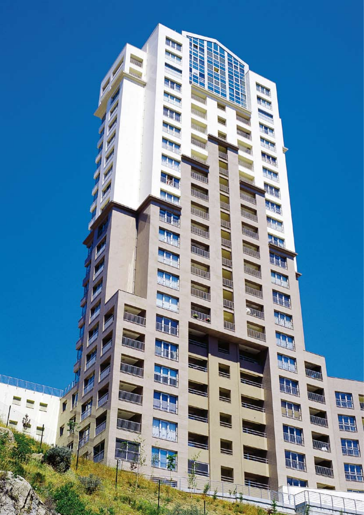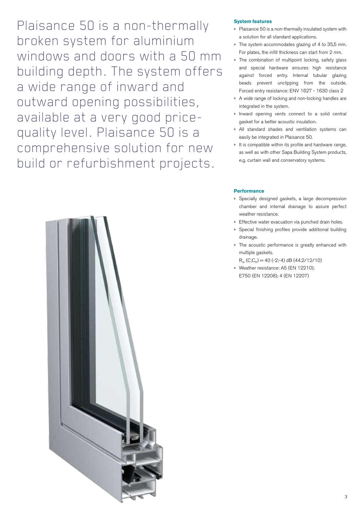Plaisance 50 is a non-thermally broken system for aluminium windows and doors with a 50 mm building depth. The system offers a wide range of inward and outward opening possibilities, available at a very good pricequality level. Plaisance 50 is a comprehensive solution for new build or refurbishment projects.

# **System features**

- » Plaisance 50 is a non-thermally insulated system with a solution for all standard applications.
- » The system accommodates glazing of 4 to 35,5 mm. For plates, the infill thickness can start from 2 mm.
- » The combination of multipoint locking, safety glass and special hardware ensures high resistance against forced entry. Internal tubular glazing beads prevent unclipping from the outside. Forced entry resistance: ENV 1627 - 1630 class 2
- » A wide range of locking and non-locking handles are integrated in the system.
- » Inward opening vents connect to a solid central gasket for a better acoustic insulation.
- » All standard shades and ventilation systems can easily be integrated in Plaisance 50.
- » It is compatible within its profile and hardware range, as well as with other Sapa Building System products, e.g. curtain wall and conservatory systems.

### **Performance**

- » Specially designed gaskets, a large decompression chamber and internal drainage to assure perfect weather resistance.
- » Effective water evacuation via punched drain holes.
- » Special finishing profiles provide additional building drainage.
- » The acoustic performance is greatly enhanced with multiple gaskets.
- $R_w$  (C;C<sub>tr</sub>) = 40 (-2;-4) dB (44.2/12/10)
- » Weather resistance: A5 (EN 12210); E750 (EN 12208); 4 (EN 12207)

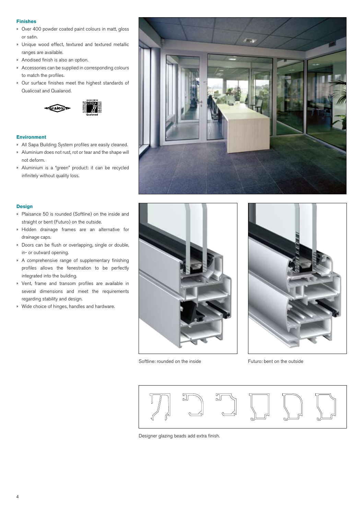### **Finishes**

- » Over 400 powder coated paint colours in matt, gloss or satin.
- » Unique wood effect, textured and textured metallic ranges are available.
- » Anodised finish is also an option.
- » Accessories can be supplied in corresponding colours to match the profiles.
- » Our surface finishes meet the highest standards of Qualicoat and Qualanod.





#### **Environment**

- » All Sapa Building System profiles are easily cleaned.
- » Aluminium does not rust, rot or tear and the shape will not deform.
- » Aluminium is a "green" product: it can be recycled infinitely without quality loss.

#### **Design**

- » Plaisance 50 is rounded (Softline) on the inside and straight or bent (Futuro) on the outside.
- » Hidden drainage frames are an alternative for drainage caps.
- » Doors can be flush or overlapping, single or double, in- or outward opening.
- » A comprehensive range of supplementary finishing profiles allows the fenestration to be perfectly integrated into the building.
- » Vent, frame and transom profiles are available in several dimensions and meet the requirements regarding stability and design.
- » Wide choice of hinges, handles and hardware.







Softline: rounded on the inside Futuro: bent on the outside



Designer glazing beads add extra finish.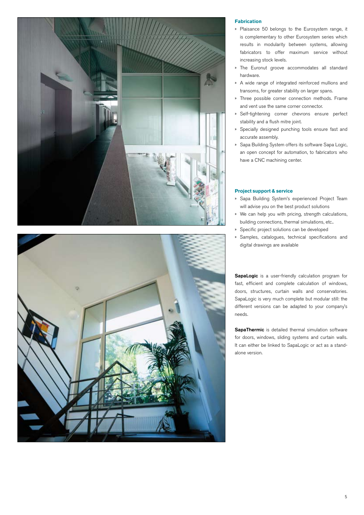



### **Fabrication**

- » Plaisance 50 belongs to the Eurosystem range, it is complementary to other Eurosystem series which results in modularity between systems, allowing fabricators to offer maximum service without increasing stock levels.
- » The Euronut groove accommodates all standard hardware.
- » A wide range of integrated reinforced mullions and transoms, for greater stability on larger spans.
- » Three possible corner connection methods. Frame and vent use the same corner connector.
- » Self-tightening corner chevrons ensure perfect stability and a flush mitre joint.
- » Specially designed punching tools ensure fast and accurate assembly.
- » Sapa Building System offers its software Sapa Logic, an open concept for automation, to fabricators who have a CNC machining center.

## **Project support & service**

- » Sapa Building System's experienced Project Team will advise you on the best product solutions
- » We can help you with pricing, strength calculations, building connections, thermal simulations, etc..
- » Specific project solutions can be developed
- » Samples, catalogues, technical specifications and digital drawings are available

SapaLogic is a user-friendly calculation program for fast, efficient and complete calculation of windows, doors, structures, curtain walls and conservatories. SapaLogic is very much complete but modular still: the different versions can be adapted to your company's needs.

SapaThermic is detailed thermal simulation software for doors, windows, sliding systems and curtain walls. It can either be linked to SapaLogic or act as a standalone version.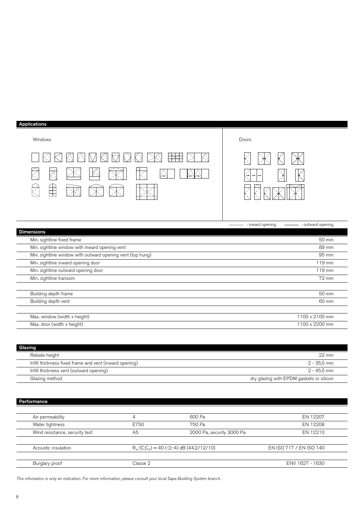# Applications



|                                                            | -------- : inward opening | : outward opening |
|------------------------------------------------------------|---------------------------|-------------------|
| <b>Dimensions</b>                                          |                           |                   |
| Min. sightline fixed frame                                 |                           | 50 mm             |
| Min. sightline window with inward opening vent             |                           | 89 mm             |
| Min. sightline window with outward opening vent (top hung) |                           | 95 mm             |
| Min. sightline inward opening door                         |                           | 119 mm            |
| Min. sightline outward opening door                        |                           | 119 mm            |
| Min. sightline transom                                     |                           | 72 mm             |
| Building depth frame                                       |                           | 50 mm             |
| Building depth vent                                        |                           | 60 mm             |
| Max. window (width x height)                               |                           | 1100 x 2100 mm    |
| Max. door (width x height)                                 |                           | 1100 x 2200 mm    |

| Glazing                                                |                                          |
|--------------------------------------------------------|------------------------------------------|
| Rebate height                                          | $22 \text{ mm}$                          |
| Infill thickness fixed frame and vent (inward opening) | 2 - 35.5 mm                              |
| Infill thickness vent (outward opening)                | 2 - 45.5 mm                              |
| Glazing method                                         | dry glazing with EPDM gaskets or silicon |

## **Performance**

| Air permeability               | 4              | 600 Pa                                        | EN 12207                |
|--------------------------------|----------------|-----------------------------------------------|-------------------------|
| Water tightness                | E750           | 750 Pa                                        | EN 12208                |
| Wind resistance, security test | A <sub>5</sub> | 2000 Pa, security 3000 Pa                     | EN 12210                |
|                                |                |                                               |                         |
| Acoustic insulation            |                | $R_w(C;C_{1r}) = 40(-2,-4)$ dB $(44.2/12/10)$ | EN ISO 717 / EN ISO 140 |
|                                |                |                                               |                         |
| Burglary proof                 | Classe 2       |                                               | ENV 1627 - 1630         |
|                                |                |                                               |                         |

*This infomation is only an indication. For more information, please consult your local Sapa Building System branch.*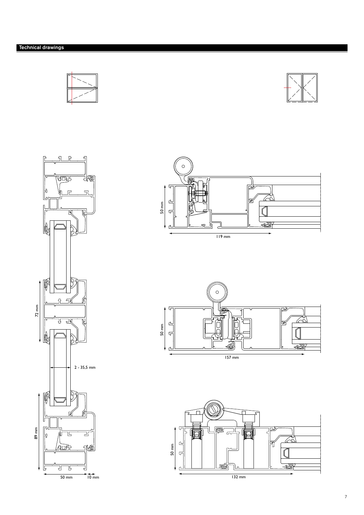